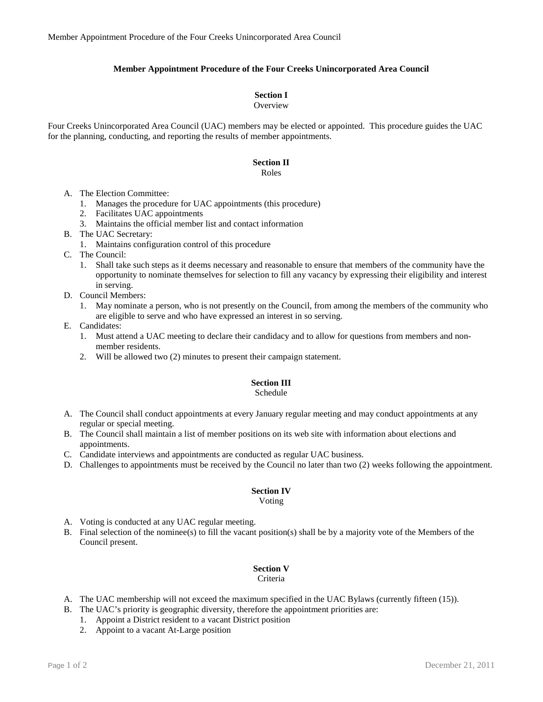### **Member Appointment Procedure of the Four Creeks Unincorporated Area Council**

#### **Section I**

#### **Overview**

Four Creeks Unincorporated Area Council (UAC) members may be elected or appointed. This procedure guides the UAC for the planning, conducting, and reporting the results of member appointments.

#### **Section II**

Roles

- A. The Election Committee:
	- 1. Manages the procedure for UAC appointments (this procedure)
	- 2. Facilitates UAC appointments
	- 3. Maintains the official member list and contact information
- B. The UAC Secretary:
	- 1. Maintains configuration control of this procedure
- C. The Council:
	- 1. Shall take such steps as it deems necessary and reasonable to ensure that members of the community have the opportunity to nominate themselves for selection to fill any vacancy by expressing their eligibility and interest in serving.
- D. Council Members:
	- 1. May nominate a person, who is not presently on the Council, from among the members of the community who are eligible to serve and who have expressed an interest in so serving.
- E. Candidates:
	- 1. Must attend a UAC meeting to declare their candidacy and to allow for questions from members and nonmember residents.
	- 2. Will be allowed two (2) minutes to present their campaign statement.

## **Section III**

#### Schedule

- A. The Council shall conduct appointments at every January regular meeting and may conduct appointments at any regular or special meeting.
- B. The Council shall maintain a list of member positions on its web site with information about elections and appointments.
- C. Candidate interviews and appointments are conducted as regular UAC business.
- D. Challenges to appointments must be received by the Council no later than two (2) weeks following the appointment.

#### **Section IV**

#### Voting

- A. Voting is conducted at any UAC regular meeting.
- B. Final selection of the nominee(s) to fill the vacant position(s) shall be by a majority vote of the Members of the Council present.

## **Section V**

#### Criteria

- A. The UAC membership will not exceed the maximum specified in the UAC Bylaws (currently fifteen (15)).
- B. The UAC's priority is geographic diversity, therefore the appointment priorities are:
	- 1. Appoint a District resident to a vacant District position
	- 2. Appoint to a vacant At-Large position